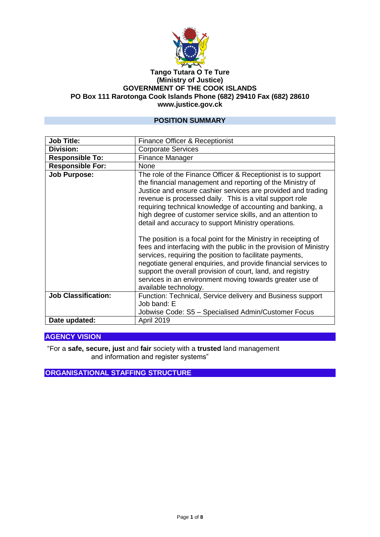

#### **Tango Tutara O Te Ture (Ministry of Justice) GOVERNMENT OF THE COOK ISLANDS PO Box 111 Rarotonga Cook Islands Phone (682) 29410 Fax (682) 28610 www.justice.gov.ck**

#### **POSITION SUMMARY**

| <b>Job Title:</b>          | Finance Officer & Receptionist                                                                                                                                                                                                                                                                                                                                                                                                            |
|----------------------------|-------------------------------------------------------------------------------------------------------------------------------------------------------------------------------------------------------------------------------------------------------------------------------------------------------------------------------------------------------------------------------------------------------------------------------------------|
| <b>Division:</b>           | <b>Corporate Services</b>                                                                                                                                                                                                                                                                                                                                                                                                                 |
| <b>Responsible To:</b>     | Finance Manager                                                                                                                                                                                                                                                                                                                                                                                                                           |
| <b>Responsible For:</b>    | None                                                                                                                                                                                                                                                                                                                                                                                                                                      |
| <b>Job Purpose:</b>        | The role of the Finance Officer & Receptionist is to support<br>the financial management and reporting of the Ministry of<br>Justice and ensure cashier services are provided and trading<br>revenue is processed daily. This is a vital support role<br>requiring technical knowledge of accounting and banking, a<br>high degree of customer service skills, and an attention to<br>detail and accuracy to support Ministry operations. |
|                            | The position is a focal point for the Ministry in receipting of<br>fees and interfacing with the public in the provision of Ministry<br>services, requiring the position to facilitate payments,<br>negotiate general enquiries, and provide financial services to<br>support the overall provision of court, land, and registry<br>services in an environment moving towards greater use of<br>available technology.                     |
| <b>Job Classification:</b> | Function: Technical, Service delivery and Business support<br>Job band: E                                                                                                                                                                                                                                                                                                                                                                 |
|                            | Jobwise Code: S5 - Specialised Admin/Customer Focus                                                                                                                                                                                                                                                                                                                                                                                       |
| Date updated:              | April 2019                                                                                                                                                                                                                                                                                                                                                                                                                                |

## **AGENCY VISION**

"For a **safe, secure, just** and **fair** society with a **trusted** land management and information and register systems"

**ORGANISATIONAL STAFFING STRUCTURE**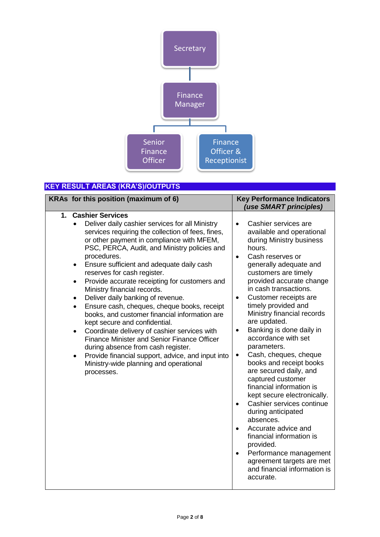

# **KEY RESULT AREAS (KRA'S)/OUTPUTS**

| KRAs for this position (maximum of 6)                                                                                                                                                                                                                                           |                                                                                                                                                                                                                                                                                                                                                                                                                                                                                                                                                                                                                                            | <b>Key Performance Indicators</b><br>(use SMART principles)                                                                                                                                                                                                                                                                                                                                                                                                                                                                                                                                                                                                                                                                                                                                                                                                        |
|---------------------------------------------------------------------------------------------------------------------------------------------------------------------------------------------------------------------------------------------------------------------------------|--------------------------------------------------------------------------------------------------------------------------------------------------------------------------------------------------------------------------------------------------------------------------------------------------------------------------------------------------------------------------------------------------------------------------------------------------------------------------------------------------------------------------------------------------------------------------------------------------------------------------------------------|--------------------------------------------------------------------------------------------------------------------------------------------------------------------------------------------------------------------------------------------------------------------------------------------------------------------------------------------------------------------------------------------------------------------------------------------------------------------------------------------------------------------------------------------------------------------------------------------------------------------------------------------------------------------------------------------------------------------------------------------------------------------------------------------------------------------------------------------------------------------|
| 1. Cashier Services<br>$\bullet$<br>procedures.<br>$\bullet$<br>reserves for cash register.<br>$\bullet$<br>Ministry financial records.<br>Deliver daily banking of revenue.<br>$\bullet$<br>$\bullet$<br>kept secure and confidential.<br>$\bullet$<br>$\bullet$<br>processes. | Deliver daily cashier services for all Ministry<br>services requiring the collection of fees, fines,<br>or other payment in compliance with MFEM,<br>PSC, PERCA, Audit, and Ministry policies and<br>Ensure sufficient and adequate daily cash<br>Provide accurate receipting for customers and<br>Ensure cash, cheques, cheque books, receipt<br>books, and customer financial information are<br>Coordinate delivery of cashier services with<br><b>Finance Minister and Senior Finance Officer</b><br>during absence from cash register.<br>Provide financial support, advice, and input into<br>Ministry-wide planning and operational | Cashier services are<br>$\bullet$<br>available and operational<br>during Ministry business<br>hours.<br>Cash reserves or<br>$\bullet$<br>generally adequate and<br>customers are timely<br>provided accurate change<br>in cash transactions.<br>Customer receipts are<br>$\bullet$<br>timely provided and<br>Ministry financial records<br>are updated.<br>Banking is done daily in<br>$\bullet$<br>accordance with set<br>parameters.<br>Cash, cheques, cheque<br>$\bullet$<br>books and receipt books<br>are secured daily, and<br>captured customer<br>financial information is<br>kept secure electronically.<br>Cashier services continue<br>during anticipated<br>absences.<br>Accurate advice and<br>financial information is<br>provided.<br>Performance management<br>$\bullet$<br>agreement targets are met<br>and financial information is<br>accurate. |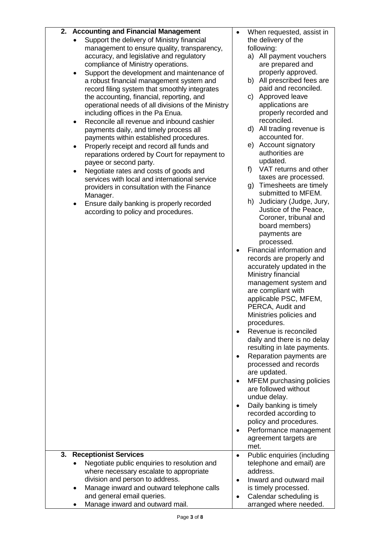| 2. Accounting and Financial Management                                                  |           | When requested, assist in               |
|-----------------------------------------------------------------------------------------|-----------|-----------------------------------------|
| Support the delivery of Ministry financial                                              |           | the delivery of the                     |
| management to ensure quality, transparency,                                             |           | following:                              |
| accuracy, and legislative and regulatory                                                |           | a) All payment vouchers                 |
| compliance of Ministry operations.                                                      |           | are prepared and                        |
| Support the development and maintenance of                                              |           | properly approved.                      |
| a robust financial management system and                                                |           | All prescribed fees are<br>b)           |
| record filing system that smoothly integrates                                           |           | paid and reconciled.                    |
| the accounting, financial, reporting, and                                               |           | Approved leave<br>C)                    |
| operational needs of all divisions of the Ministry                                      |           | applications are                        |
| including offices in the Pa Enua.                                                       |           | properly recorded and                   |
| Reconcile all revenue and inbound cashier<br>$\bullet$                                  |           | reconciled.                             |
| payments daily, and timely process all                                                  |           | d) All trading revenue is               |
| payments within established procedures.                                                 |           | accounted for.                          |
| Properly receipt and record all funds and<br>$\bullet$                                  |           | e) Account signatory<br>authorities are |
| reparations ordered by Court for repayment to                                           |           | updated.                                |
| payee or second party.                                                                  |           | VAT returns and other<br>f)             |
| Negotiate rates and costs of goods and<br>services with local and international service |           | taxes are processed.                    |
|                                                                                         |           | Timesheets are timely<br>g)             |
| providers in consultation with the Finance                                              |           | submitted to MFEM.                      |
| Manager.<br>Ensure daily banking is properly recorded                                   |           | Judiciary (Judge, Jury,<br>h)           |
| according to policy and procedures.                                                     |           | Justice of the Peace,                   |
|                                                                                         |           | Coroner, tribunal and                   |
|                                                                                         |           | board members)                          |
|                                                                                         |           | payments are                            |
|                                                                                         |           | processed.                              |
|                                                                                         |           | Financial information and               |
|                                                                                         |           | records are properly and                |
|                                                                                         |           | accurately updated in the               |
|                                                                                         |           | Ministry financial                      |
|                                                                                         |           | management system and                   |
|                                                                                         |           | are compliant with                      |
|                                                                                         |           | applicable PSC, MFEM,                   |
|                                                                                         |           | PERCA, Audit and                        |
|                                                                                         |           | Ministries policies and<br>procedures.  |
|                                                                                         |           | Revenue is reconciled                   |
|                                                                                         |           | daily and there is no delay             |
|                                                                                         |           | resulting in late payments.             |
|                                                                                         |           | Reparation payments are                 |
|                                                                                         |           | processed and records                   |
|                                                                                         |           | are updated.                            |
|                                                                                         |           | MFEM purchasing policies                |
|                                                                                         |           | are followed without                    |
|                                                                                         |           | undue delay.                            |
|                                                                                         |           | Daily banking is timely                 |
|                                                                                         |           | recorded according to                   |
|                                                                                         |           | policy and procedures.                  |
|                                                                                         |           | Performance management                  |
|                                                                                         |           | agreement targets are                   |
|                                                                                         |           | met.                                    |
| <b>Receptionist Services</b><br>3.                                                      | $\bullet$ | Public enquiries (including             |
| Negotiate public enquiries to resolution and                                            |           | telephone and email) are                |
| where necessary escalate to appropriate                                                 |           | address.                                |
| division and person to address.                                                         |           | Inward and outward mail                 |
| Manage inward and outward telephone calls                                               |           | is timely processed.                    |
| and general email queries.                                                              |           | Calendar scheduling is                  |
| Manage inward and outward mail.                                                         |           | arranged where needed.                  |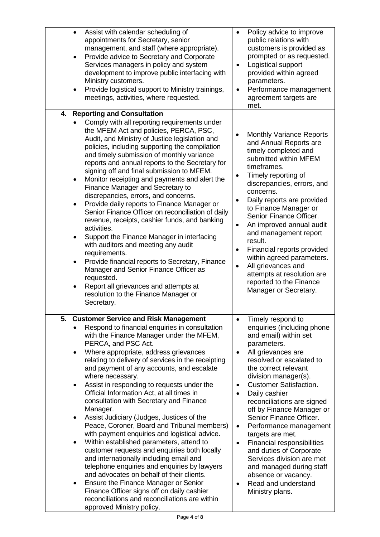| Assist with calendar scheduling of<br>$\bullet$<br>appointments for Secretary, senior<br>management, and staff (where appropriate).<br>Provide advice to Secretary and Corporate<br>$\bullet$<br>Services managers in policy and system<br>development to improve public interfacing with<br>Ministry customers.<br>Provide logistical support to Ministry trainings,<br>meetings, activities, where requested.                                                                                                                                                                                                                                                                                                                                                                                                                                                                                                                                                                                                                                                               | Policy advice to improve<br>public relations with<br>customers is provided as<br>prompted or as requested.<br>Logistical support<br>provided within agreed<br>parameters.<br>Performance management<br>agreement targets are<br>met.                                                                                                                                                                                                                                                                                                                                                                        |
|-------------------------------------------------------------------------------------------------------------------------------------------------------------------------------------------------------------------------------------------------------------------------------------------------------------------------------------------------------------------------------------------------------------------------------------------------------------------------------------------------------------------------------------------------------------------------------------------------------------------------------------------------------------------------------------------------------------------------------------------------------------------------------------------------------------------------------------------------------------------------------------------------------------------------------------------------------------------------------------------------------------------------------------------------------------------------------|-------------------------------------------------------------------------------------------------------------------------------------------------------------------------------------------------------------------------------------------------------------------------------------------------------------------------------------------------------------------------------------------------------------------------------------------------------------------------------------------------------------------------------------------------------------------------------------------------------------|
| 4. Reporting and Consultation<br>Comply with all reporting requirements under<br>the MFEM Act and policies, PERCA, PSC,<br>Audit, and Ministry of Justice legislation and<br>policies, including supporting the compilation<br>and timely submission of monthly variance<br>reports and annual reports to the Secretary for<br>signing off and final submission to MFEM.<br>Monitor receipting and payments and alert the<br>$\bullet$<br>Finance Manager and Secretary to<br>discrepancies, errors, and concerns.<br>Provide daily reports to Finance Manager or<br>Senior Finance Officer on reconciliation of daily<br>revenue, receipts, cashier funds, and banking<br>activities.<br>Support the Finance Manager in interfacing<br>٠<br>with auditors and meeting any audit<br>requirements.<br>Provide financial reports to Secretary, Finance<br>$\bullet$<br>Manager and Senior Finance Officer as<br>requested.<br>Report all grievances and attempts at<br>resolution to the Finance Manager or<br>Secretary.                                                       | <b>Monthly Variance Reports</b><br>and Annual Reports are<br>timely completed and<br>submitted within MFEM<br>timeframes.<br>Timely reporting of<br>$\bullet$<br>discrepancies, errors, and<br>concerns.<br>Daily reports are provided<br>$\bullet$<br>to Finance Manager or<br>Senior Finance Officer.<br>An improved annual audit<br>$\bullet$<br>and management report<br>result.<br>Financial reports provided<br>$\bullet$<br>within agreed parameters.<br>All grievances and<br>$\bullet$<br>attempts at resolution are<br>reported to the Finance<br>Manager or Secretary.                           |
| <b>Customer Service and Risk Management</b><br>5.<br>Respond to financial enquiries in consultation<br>with the Finance Manager under the MFEM,<br>PERCA, and PSC Act.<br>Where appropriate, address grievances<br>relating to delivery of services in the receipting<br>and payment of any accounts, and escalate<br>where necessary.<br>Assist in responding to requests under the<br>$\bullet$<br>Official Information Act, at all times in<br>consultation with Secretary and Finance<br>Manager.<br>Assist Judiciary (Judges, Justices of the<br>٠<br>Peace, Coroner, Board and Tribunal members)<br>with payment enquiries and logistical advice.<br>Within established parameters, attend to<br>$\bullet$<br>customer requests and enquiries both locally<br>and internationally including email and<br>telephone enquiries and enquiries by lawyers<br>and advocates on behalf of their clients.<br>Ensure the Finance Manager or Senior<br>Finance Officer signs off on daily cashier<br>reconciliations and reconciliations are within<br>approved Ministry policy. | Timely respond to<br>٠<br>enquiries (including phone<br>and email) within set<br>parameters.<br>All grievances are<br>resolved or escalated to<br>the correct relevant<br>division manager(s).<br><b>Customer Satisfaction.</b><br>٠<br>Daily cashier<br>٠<br>reconciliations are signed<br>off by Finance Manager or<br>Senior Finance Officer.<br>Performance management<br>$\bullet$<br>targets are met.<br>Financial responsibilities<br>$\bullet$<br>and duties of Corporate<br>Services division are met<br>and managed during staff<br>absence or vacancy.<br>Read and understand<br>Ministry plans. |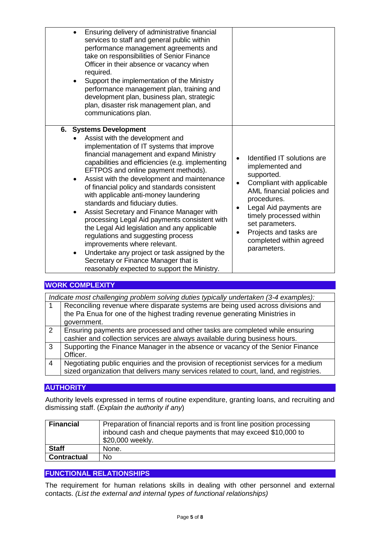| Ensuring delivery of administrative financial<br>services to staff and general public within<br>performance management agreements and<br>take on responsibilities of Senior Finance<br>Officer in their absence or vacancy when<br>required.<br>Support the implementation of the Ministry<br>performance management plan, training and<br>development plan, business plan, strategic<br>plan, disaster risk management plan, and<br>communications plan.                                                                                                                                                                                                                                                                                                                                          |                                                                                                                                                                                                                                                                                                      |
|----------------------------------------------------------------------------------------------------------------------------------------------------------------------------------------------------------------------------------------------------------------------------------------------------------------------------------------------------------------------------------------------------------------------------------------------------------------------------------------------------------------------------------------------------------------------------------------------------------------------------------------------------------------------------------------------------------------------------------------------------------------------------------------------------|------------------------------------------------------------------------------------------------------------------------------------------------------------------------------------------------------------------------------------------------------------------------------------------------------|
| 6. Systems Development<br>Assist with the development and<br>implementation of IT systems that improve<br>financial management and expand Ministry<br>capabilities and efficiencies (e.g. implementing<br>EFTPOS and online payment methods).<br>Assist with the development and maintenance<br>of financial policy and standards consistent<br>with applicable anti-money laundering<br>standards and fiduciary duties.<br>Assist Secretary and Finance Manager with<br>$\bullet$<br>processing Legal Aid payments consistent with<br>the Legal Aid legislation and any applicable<br>regulations and suggesting process<br>improvements where relevant.<br>Undertake any project or task assigned by the<br>Secretary or Finance Manager that is<br>reasonably expected to support the Ministry. | Identified IT solutions are<br>implemented and<br>supported.<br>Compliant with applicable<br>$\bullet$<br>AML financial policies and<br>procedures.<br>Legal Aid payments are<br>٠<br>timely processed within<br>set parameters.<br>Projects and tasks are<br>completed within agreed<br>parameters. |

## **WORK COMPLEXITY**

|   | Indicate most challenging problem solving duties typically undertaken (3-4 examples):                                                                                          |
|---|--------------------------------------------------------------------------------------------------------------------------------------------------------------------------------|
|   | Reconciling revenue where disparate systems are being used across divisions and<br>the Pa Enua for one of the highest trading revenue generating Ministries in                 |
|   | government.                                                                                                                                                                    |
| 2 | Ensuring payments are processed and other tasks are completed while ensuring<br>cashier and collection services are always available during business hours.                    |
| 3 | Supporting the Finance Manager in the absence or vacancy of the Senior Finance<br>Officer.                                                                                     |
| 4 | Negotiating public enquiries and the provision of receptionist services for a medium<br>sized organization that delivers many services related to court, land, and registries. |

## **AUTHORITY**

Authority levels expressed in terms of routine expenditure, granting loans, and recruiting and dismissing staff. (*Explain the authority if any*)

| <b>Financial</b>   | Preparation of financial reports and is front line position processing<br>inbound cash and cheque payments that may exceed \$10,000 to<br>\$20,000 weekly. |
|--------------------|------------------------------------------------------------------------------------------------------------------------------------------------------------|
| <b>Staff</b>       | None.                                                                                                                                                      |
| <b>Contractual</b> | No                                                                                                                                                         |

#### **FUNCTIONAL RELATIONSHIPS**

The requirement for human relations skills in dealing with other personnel and external contacts. *(List the external and internal types of functional relationships)*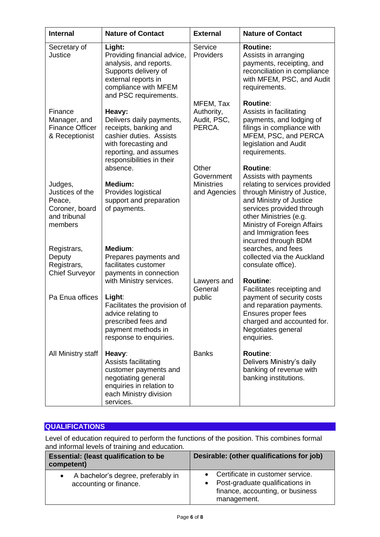| <b>Internal</b>                                                                   | <b>Nature of Contact</b>                                                                                                                                              | <b>External</b>                                          | <b>Nature of Contact</b>                                                                                                                                                                                                                           |
|-----------------------------------------------------------------------------------|-----------------------------------------------------------------------------------------------------------------------------------------------------------------------|----------------------------------------------------------|----------------------------------------------------------------------------------------------------------------------------------------------------------------------------------------------------------------------------------------------------|
| Secretary of<br>Justice                                                           | Light:<br>Providing financial advice,<br>analysis, and reports.<br>Supports delivery of<br>external reports in<br>compliance with MFEM<br>and PSC requirements.       | Service<br>Providers                                     | <b>Routine:</b><br>Assists in arranging<br>payments, receipting, and<br>reconciliation in compliance<br>with MFEM, PSC, and Audit<br>requirements.                                                                                                 |
| Finance<br>Manager, and<br><b>Finance Officer</b><br>& Receptionist               | Heavy:<br>Delivers daily payments,<br>receipts, banking and<br>cashier duties. Assists<br>with forecasting and<br>reporting, and assumes<br>responsibilities in their | MFEM, Tax<br>Authority,<br>Audit, PSC,<br>PERCA.         | <b>Routine:</b><br>Assists in facilitating<br>payments, and lodging of<br>filings in compliance with<br>MFEM, PSC, and PERCA<br>legislation and Audit<br>requirements.                                                                             |
| Judges,<br>Justices of the<br>Peace,<br>Coroner, board<br>and tribunal<br>members | absence.<br>Medium:<br>Provides logistical<br>support and preparation<br>of payments.                                                                                 | Other<br>Government<br><b>Ministries</b><br>and Agencies | <b>Routine:</b><br>Assists with payments<br>relating to services provided<br>through Ministry of Justice,<br>and Ministry of Justice<br>services provided through<br>other Ministries (e.g.<br>Ministry of Foreign Affairs<br>and Immigration fees |
| Registrars,<br>Deputy<br>Registrars,<br><b>Chief Surveyor</b>                     | Medium:<br>Prepares payments and<br>facilitates customer<br>payments in connection                                                                                    |                                                          | incurred through BDM<br>searches, and fees<br>collected via the Auckland<br>consulate office).                                                                                                                                                     |
| Pa Enua offices                                                                   | with Ministry services.<br>Light:<br>Facilitates the provision of<br>advice relating to<br>prescribed fees and<br>payment methods in<br>response to enquiries.        | Lawyers and<br>General<br>public                         | <b>Routine:</b><br>Facilitates receipting and<br>payment of security costs<br>and reparation payments.<br>Ensures proper fees<br>charged and accounted for.<br>Negotiates general<br>enquiries.                                                    |
| All Ministry staff                                                                | Heavy:<br>Assists facilitating<br>customer payments and<br>negotiating general<br>enquiries in relation to<br>each Ministry division<br>services.                     | <b>Banks</b>                                             | <b>Routine:</b><br>Delivers Ministry's daily<br>banking of revenue with<br>banking institutions.                                                                                                                                                   |

## **QUALIFICATIONS**

Level of education required to perform the functions of the position. This combines formal and informal levels of training and education.

| <b>Essential: (least qualification to be</b><br>competent)   | Desirable: (other qualifications for job)                                                                                             |
|--------------------------------------------------------------|---------------------------------------------------------------------------------------------------------------------------------------|
| A bachelor's degree, preferably in<br>accounting or finance. | • Certificate in customer service.<br>Post-graduate qualifications in<br>$\bullet$<br>finance, accounting, or business<br>management. |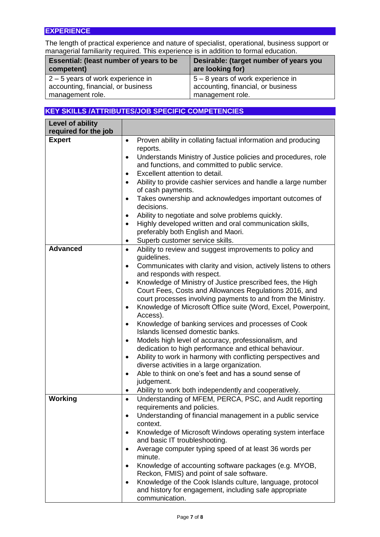## **EXPERIENCE**

The length of practical experience and nature of specialist, operational, business support or managerial familiarity required. This experience is in addition to formal education.

| Essential: (least number of years to be | Desirable: (target number of years you |
|-----------------------------------------|----------------------------------------|
| competent)                              | are looking for)                       |
| $2 - 5$ years of work experience in     | $5 - 8$ years of work experience in    |
| accounting, financial, or business      | accounting, financial, or business     |
| management role.                        | management role.                       |

## **KEY SKILLS /ATTRIBUTES/JOB SPECIFIC COMPETENCIES**

| Level of ability<br>required for the job |                                                                                                            |
|------------------------------------------|------------------------------------------------------------------------------------------------------------|
| <b>Expert</b>                            | Proven ability in collating factual information and producing<br>$\bullet$                                 |
|                                          | reports.                                                                                                   |
|                                          | Understands Ministry of Justice policies and procedures, role                                              |
|                                          | and functions, and committed to public service.                                                            |
|                                          | Excellent attention to detail.<br>$\bullet$                                                                |
|                                          | Ability to provide cashier services and handle a large number<br>$\bullet$<br>of cash payments.            |
|                                          | Takes ownership and acknowledges important outcomes of<br>$\bullet$                                        |
|                                          | decisions.                                                                                                 |
|                                          | Ability to negotiate and solve problems quickly.<br>٠                                                      |
|                                          | Highly developed written and oral communication skills,<br>$\bullet$<br>preferably both English and Maori. |
|                                          | Superb customer service skills.<br>٠                                                                       |
| <b>Advanced</b>                          | Ability to review and suggest improvements to policy and<br>٠<br>guidelines.                               |
|                                          | Communicates with clarity and vision, actively listens to others<br>and responds with respect.             |
|                                          | Knowledge of Ministry of Justice prescribed fees, the High<br>$\bullet$                                    |
|                                          | Court Fees, Costs and Allowances Regulations 2016, and                                                     |
|                                          | court processes involving payments to and from the Ministry.                                               |
|                                          | Knowledge of Microsoft Office suite (Word, Excel, Powerpoint,<br>$\bullet$<br>Access).                     |
|                                          | Knowledge of banking services and processes of Cook<br>٠                                                   |
|                                          | Islands licensed domestic banks.                                                                           |
|                                          | Models high level of accuracy, professionalism, and<br>٠                                                   |
|                                          | dedication to high performance and ethical behaviour.                                                      |
|                                          | Ability to work in harmony with conflicting perspectives and<br>٠                                          |
|                                          | diverse activities in a large organization.                                                                |
|                                          | Able to think on one's feet and has a sound sense of<br>$\bullet$<br>judgement.                            |
|                                          | Ability to work both independently and cooperatively.                                                      |
| Working                                  | Understanding of MFEM, PERCA, PSC, and Audit reporting<br>$\bullet$                                        |
|                                          | requirements and policies.                                                                                 |
|                                          | Understanding of financial management in a public service<br>$\bullet$<br>context.                         |
|                                          | Knowledge of Microsoft Windows operating system interface<br>٠<br>and basic IT troubleshooting.            |
|                                          | Average computer typing speed of at least 36 words per<br>$\bullet$<br>minute.                             |
|                                          | Knowledge of accounting software packages (e.g. MYOB,<br>٠                                                 |
|                                          | Reckon, FMIS) and point of sale software.                                                                  |
|                                          | Knowledge of the Cook Islands culture, language, protocol<br>$\bullet$                                     |
|                                          | and history for engagement, including safe appropriate<br>communication.                                   |